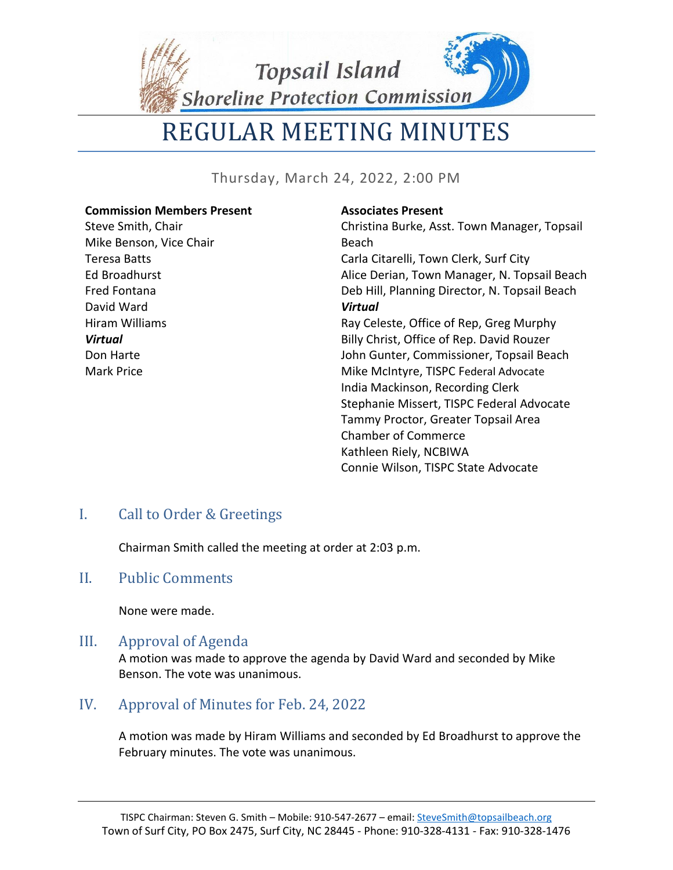**Topsail Island** 

REGULAR MEETING MINUTES

Shoreline Protection Commission

Thursday, March 24, 2022, 2:00 PM

#### **Commission Members Present**

Steve Smith, Chair Mike Benson, Vice Chair Teresa Batts Ed Broadhurst Fred Fontana David Ward Hiram Williams *Virtual* Don Harte Mark Price

#### **Associates Present**

Christina Burke, Asst. Town Manager, Topsail Beach Carla Citarelli, Town Clerk, Surf City Alice Derian, Town Manager, N. Topsail Beach Deb Hill, Planning Director, N. Topsail Beach *Virtual* Ray Celeste, Office of Rep, Greg Murphy Billy Christ, Office of Rep. David Rouzer John Gunter, Commissioner, Topsail Beach Mike McIntyre, TISPC Federal Advocate India Mackinson, Recording Clerk Stephanie Missert, TISPC Federal Advocate Tammy Proctor, Greater Topsail Area Chamber of Commerce Kathleen Riely, NCBIWA Connie Wilson, TISPC State Advocate

# I. Call to Order & Greetings

Chairman Smith called the meeting at order at 2:03 p.m.

#### II. Public Comments

None were made.

#### III. Approval of Agenda

A motion was made to approve the agenda by David Ward and seconded by Mike Benson. The vote was unanimous.

# IV. Approval of Minutes for Feb. 24, 2022

A motion was made by Hiram Williams and seconded by Ed Broadhurst to approve the February minutes. The vote was unanimous.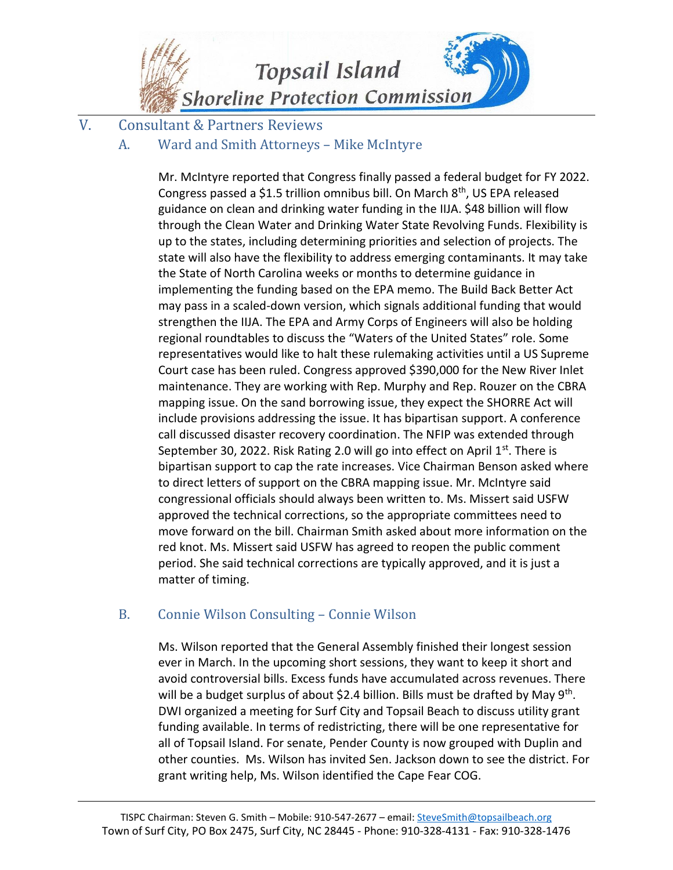

V. Consultant & Partners Reviews

## A. Ward and Smith Attorneys – Mike McIntyre

Mr. McIntyre reported that Congress finally passed a federal budget for FY 2022. Congress passed a \$1.5 trillion omnibus bill. On March 8<sup>th</sup>, US EPA released guidance on clean and drinking water funding in the IIJA. \$48 billion will flow through the Clean Water and Drinking Water State Revolving Funds. Flexibility is up to the states, including determining priorities and selection of projects. The state will also have the flexibility to address emerging contaminants. It may take the State of North Carolina weeks or months to determine guidance in implementing the funding based on the EPA memo. The Build Back Better Act may pass in a scaled-down version, which signals additional funding that would strengthen the IIJA. The EPA and Army Corps of Engineers will also be holding regional roundtables to discuss the "Waters of the United States" role. Some representatives would like to halt these rulemaking activities until a US Supreme Court case has been ruled. Congress approved \$390,000 for the New River Inlet maintenance. They are working with Rep. Murphy and Rep. Rouzer on the CBRA mapping issue. On the sand borrowing issue, they expect the SHORRE Act will include provisions addressing the issue. It has bipartisan support. A conference call discussed disaster recovery coordination. The NFIP was extended through September 30, 2022. Risk Rating 2.0 will go into effect on April 1st. There is bipartisan support to cap the rate increases. Vice Chairman Benson asked where to direct letters of support on the CBRA mapping issue. Mr. McIntyre said congressional officials should always been written to. Ms. Missert said USFW approved the technical corrections, so the appropriate committees need to move forward on the bill. Chairman Smith asked about more information on the red knot. Ms. Missert said USFW has agreed to reopen the public comment period. She said technical corrections are typically approved, and it is just a matter of timing.

# B. Connie Wilson Consulting – Connie Wilson

Ms. Wilson reported that the General Assembly finished their longest session ever in March. In the upcoming short sessions, they want to keep it short and avoid controversial bills. Excess funds have accumulated across revenues. There will be a budget surplus of about \$2.4 billion. Bills must be drafted by May 9<sup>th</sup>. DWI organized a meeting for Surf City and Topsail Beach to discuss utility grant funding available. In terms of redistricting, there will be one representative for all of Topsail Island. For senate, Pender County is now grouped with Duplin and other counties. Ms. Wilson has invited Sen. Jackson down to see the district. For grant writing help, Ms. Wilson identified the Cape Fear COG.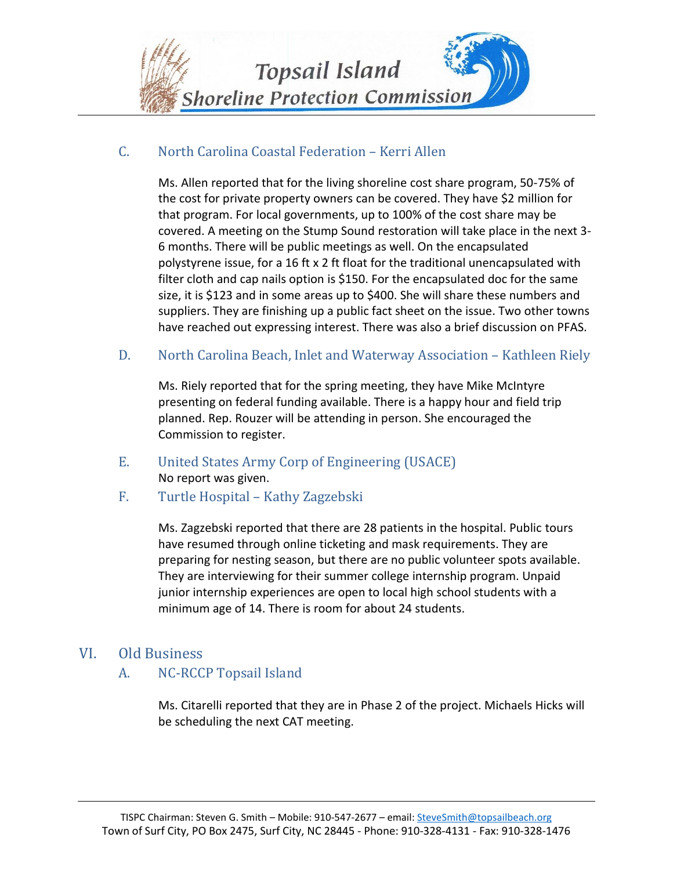

### C. North Carolina Coastal Federation – Kerri Allen

Ms. Allen reported that for the living shoreline cost share program, 50-75% of the cost for private property owners can be covered. They have \$2 million for that program. For local governments, up to 100% of the cost share may be covered. A meeting on the Stump Sound restoration will take place in the next 3- 6 months. There will be public meetings as well. On the encapsulated polystyrene issue, for a 16 ft x 2 ft float for the traditional unencapsulated with filter cloth and cap nails option is \$150. For the encapsulated doc for the same size, it is \$123 and in some areas up to \$400. She will share these numbers and suppliers. They are finishing up a public fact sheet on the issue. Two other towns have reached out expressing interest. There was also a brief discussion on PFAS.

D. North Carolina Beach, Inlet and Waterway Association – Kathleen Riely

Ms. Riely reported that for the spring meeting, they have Mike McIntyre presenting on federal funding available. There is a happy hour and field trip planned. Rep. Rouzer will be attending in person. She encouraged the Commission to register.

- E. United States Army Corp of Engineering (USACE) No report was given.
- F. Turtle Hospital Kathy Zagzebski

Ms. Zagzebski reported that there are 28 patients in the hospital. Public tours have resumed through online ticketing and mask requirements. They are preparing for nesting season, but there are no public volunteer spots available. They are interviewing for their summer college internship program. Unpaid junior internship experiences are open to local high school students with a minimum age of 14. There is room for about 24 students.

#### VI. Old Business

A. NC-RCCP Topsail Island

Ms. Citarelli reported that they are in Phase 2 of the project. Michaels Hicks will be scheduling the next CAT meeting.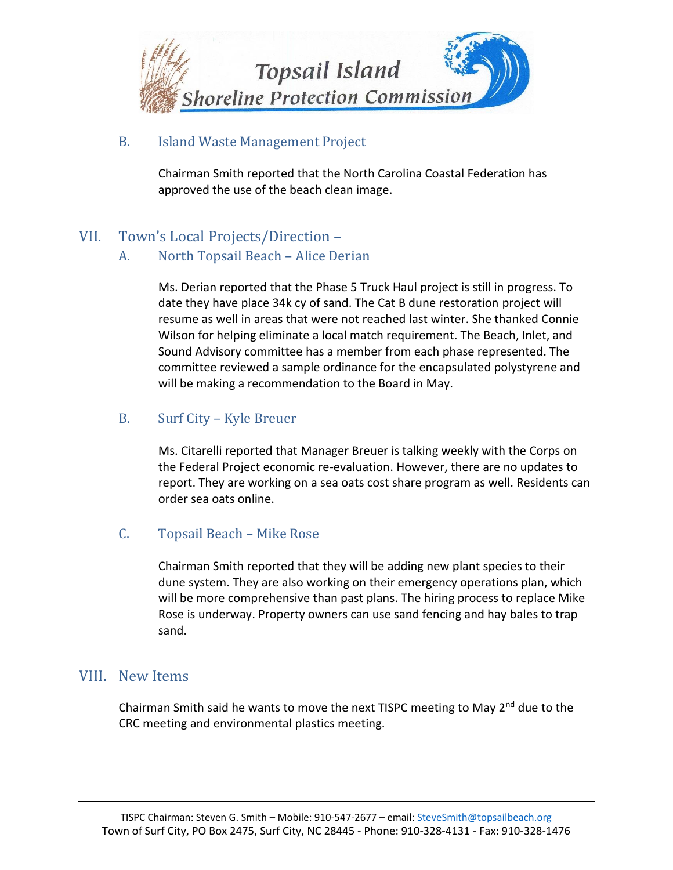

#### B. Island Waste Management Project

Chairman Smith reported that the North Carolina Coastal Federation has approved the use of the beach clean image.

# VII. Town's Local Projects/Direction –

### A. North Topsail Beach – Alice Derian

Ms. Derian reported that the Phase 5 Truck Haul project is still in progress. To date they have place 34k cy of sand. The Cat B dune restoration project will resume as well in areas that were not reached last winter. She thanked Connie Wilson for helping eliminate a local match requirement. The Beach, Inlet, and Sound Advisory committee has a member from each phase represented. The committee reviewed a sample ordinance for the encapsulated polystyrene and will be making a recommendation to the Board in May.

### B. Surf City – Kyle Breuer

Ms. Citarelli reported that Manager Breuer is talking weekly with the Corps on the Federal Project economic re-evaluation. However, there are no updates to report. They are working on a sea oats cost share program as well. Residents can order sea oats online.

#### C. Topsail Beach – Mike Rose

Chairman Smith reported that they will be adding new plant species to their dune system. They are also working on their emergency operations plan, which will be more comprehensive than past plans. The hiring process to replace Mike Rose is underway. Property owners can use sand fencing and hay bales to trap sand.

# VIII. New Items

Chairman Smith said he wants to move the next TISPC meeting to May  $2^{nd}$  due to the CRC meeting and environmental plastics meeting.